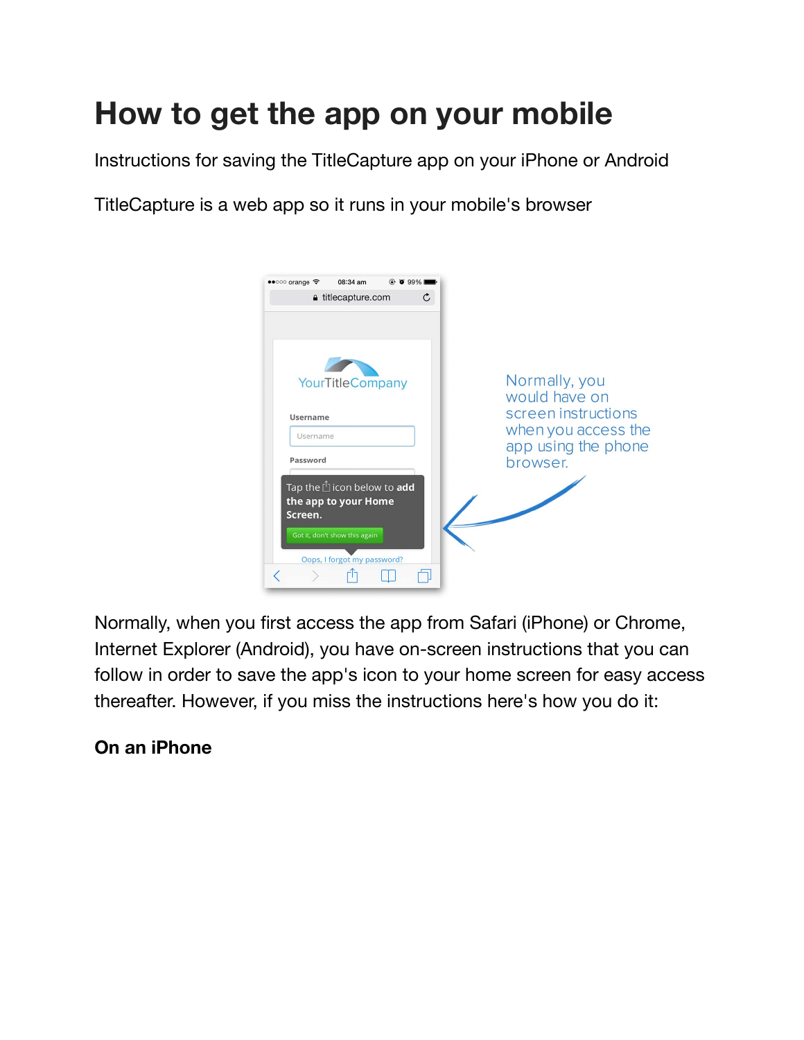# **How to get the app on your mobile**

Instructions for saving the TitleCapture app on your iPhone or Android

TitleCapture is a web app so it runs in your mobile's browser



Normally, when you first access the app from Safari (iPhone) or Chrome, Internet Explorer (Android), you have on-screen instructions that you can follow in order to save the app's icon to your home screen for easy access thereafter. However, if you miss the instructions here's how you do it:

# **On an iPhone**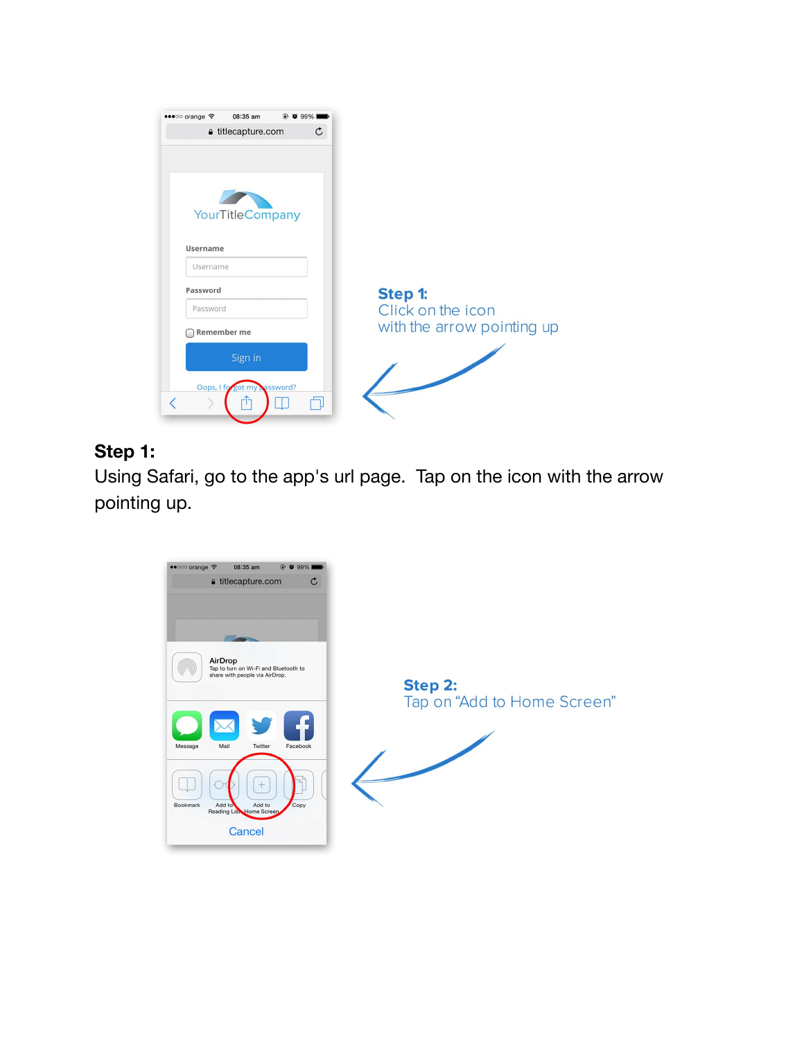| 08:35 am<br>•••○○ orange →<br>$@$ 0 99%<br>≙ titlecapture.com | $\mathfrak{C}$               |
|---------------------------------------------------------------|------------------------------|
|                                                               |                              |
|                                                               |                              |
|                                                               |                              |
| YourTitleCompany                                              |                              |
| Username                                                      |                              |
| Username                                                      |                              |
| Password                                                      |                              |
| Password                                                      | Step 1:<br>Click on the icon |
| Remember me                                                   | with the arrow pointing up   |
|                                                               |                              |
| Sign in                                                       |                              |
|                                                               |                              |
| Oops, I fo got my password?                                   |                              |

# **Step 1:**

Using Safari, go to the app's url page. Tap on the icon with the arrow pointing up.

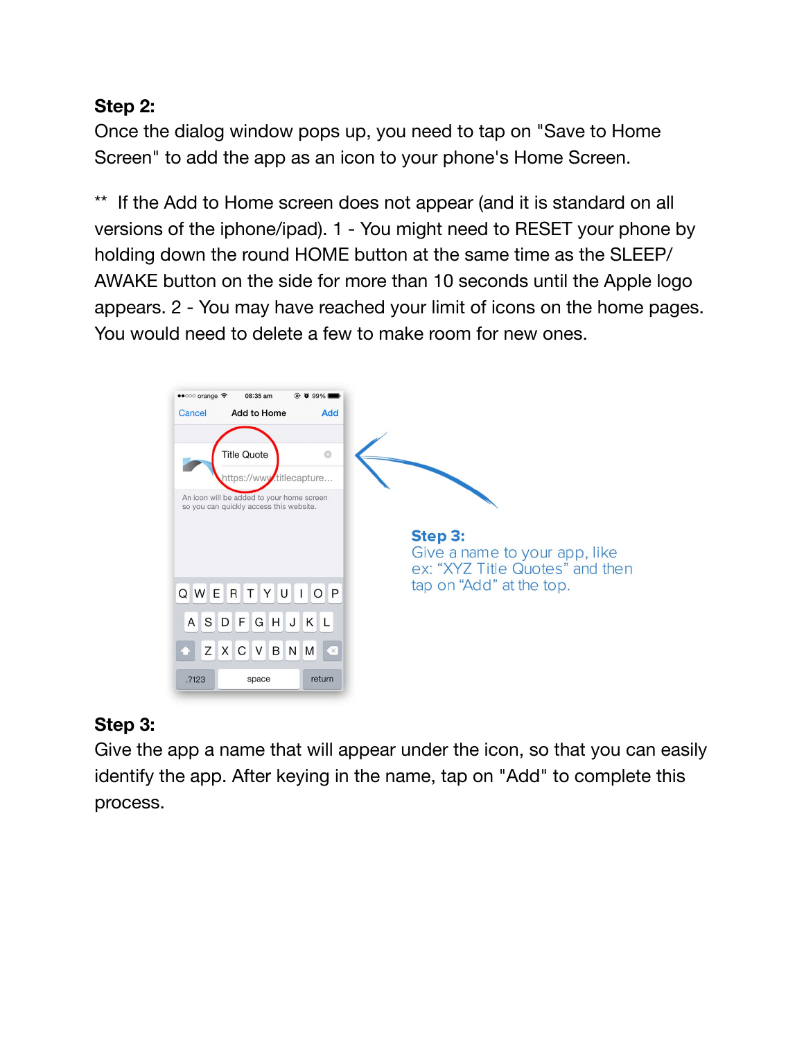### **Step 2:**

Once the dialog window pops up, you need to tap on "Save to Home Screen" to add the app as an icon to your phone's Home Screen.

\*\* If the Add to Home screen does not appear (and it is standard on all versions of the iphone/ipad). 1 - You might need to RESET your phone by holding down the round HOME button at the same time as the SLEEP/ AWAKE button on the side for more than 10 seconds until the Apple logo appears. 2 - You may have reached your limit of icons on the home pages. You would need to delete a few to make room for new ones.



### **Step 3:**

Give the app a name that will appear under the icon, so that you can easily identify the app. After keying in the name, tap on "Add" to complete this process.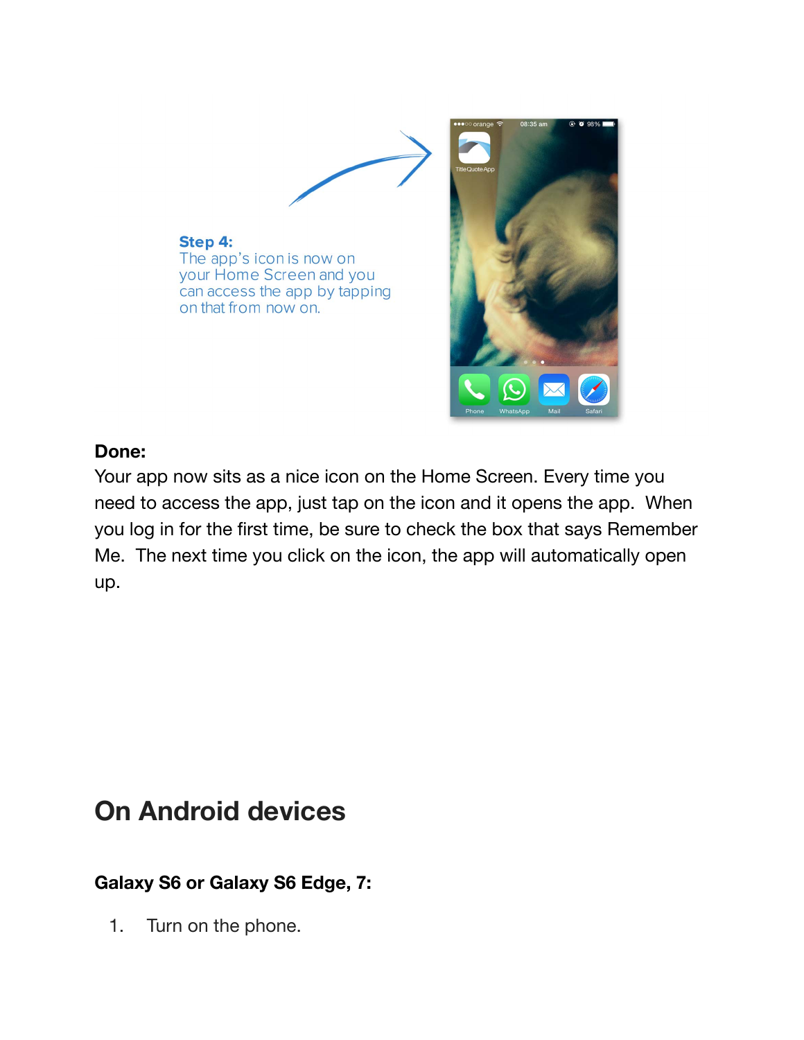

#### **Done:**

Your app now sits as a nice icon on the Home Screen. Every time you need to access the app, just tap on the icon and it opens the app. When you log in for the first time, be sure to check the box that says Remember Me. The next time you click on the icon, the app will automatically open up.

# **On Android devices**

## **Galaxy S6 or Galaxy S6 Edge, 7:**

1. Turn on the phone.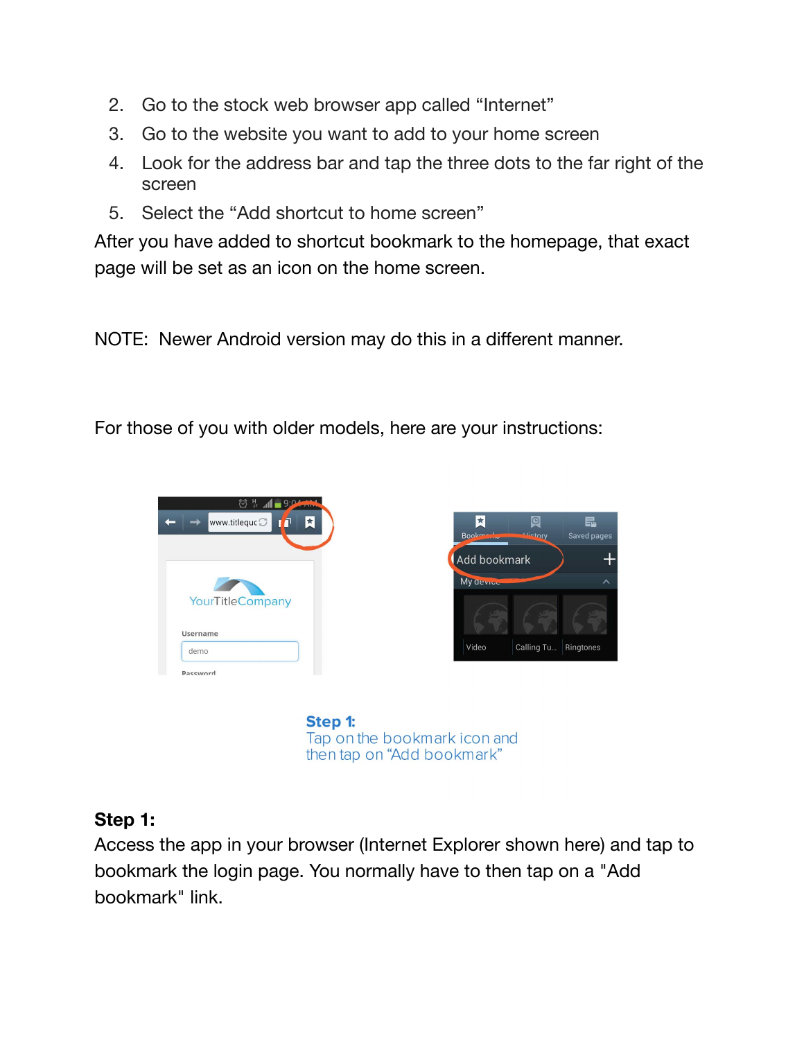- 2. Go to the stock web browser app called "Internet"
- 3. Go to the website you want to add to your home screen
- 4. Look for the address bar and tap the three dots to the far right of the screen
- 5. Select the "Add shortcut to home screen"

After you have added to shortcut bookmark to the homepage, that exact page will be set as an icon on the home screen.

NOTE: Newer Android version may do this in a different manner.

For those of you with older models, here are your instructions:





Step 1: Tap on the bookmark icon and then tap on "Add bookmark"

### **Step 1:**

Access the app in your browser (Internet Explorer shown here) and tap to bookmark the login page. You normally have to then tap on a "Add bookmark" link.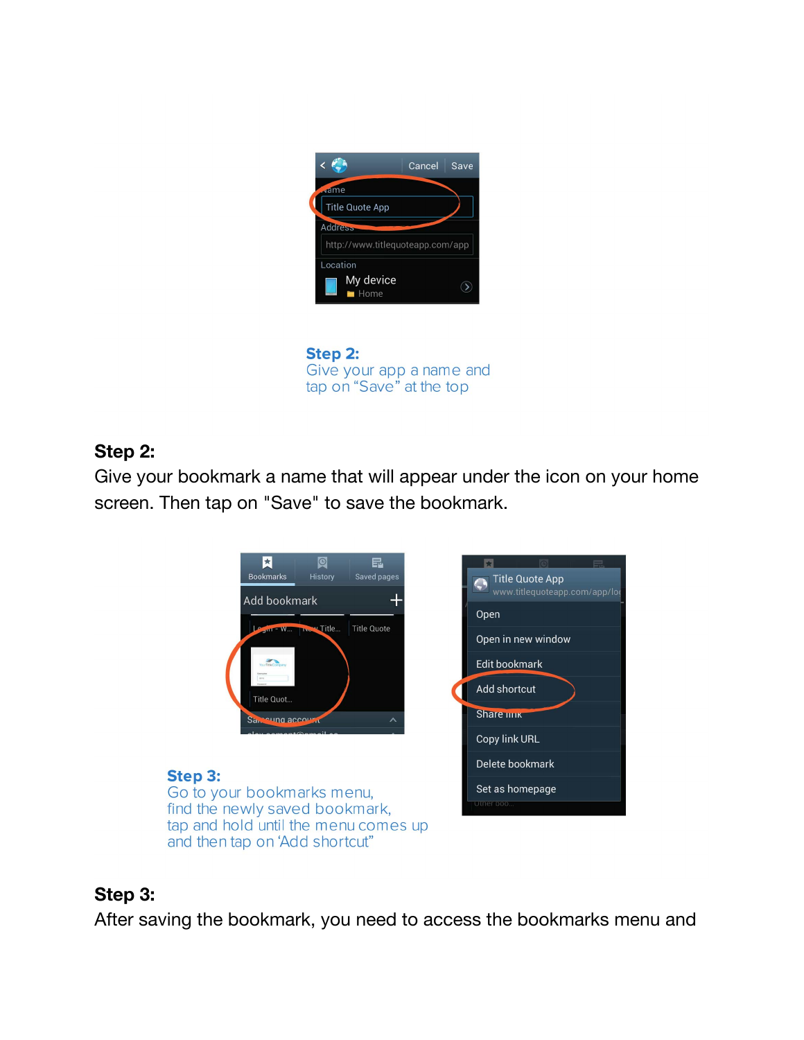



### **Step 2:**

Give your bookmark a name that will appear under the icon on your home screen. Then tap on "Save" to save the bookmark.



### **Step 3:**

After saving the bookmark, you need to access the bookmarks menu and